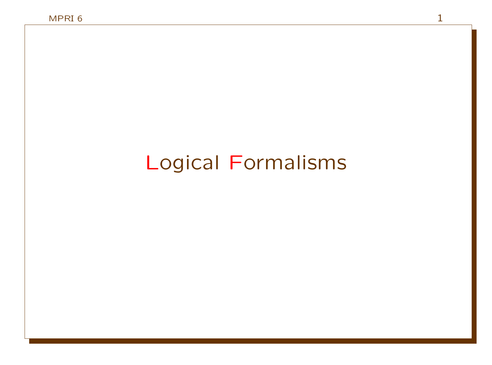# Logical Formalisms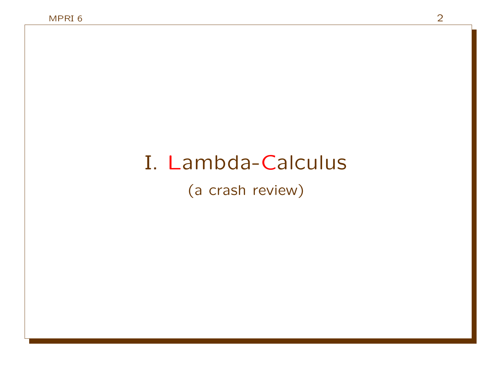# I. Lambda-Calculus

(a crash review)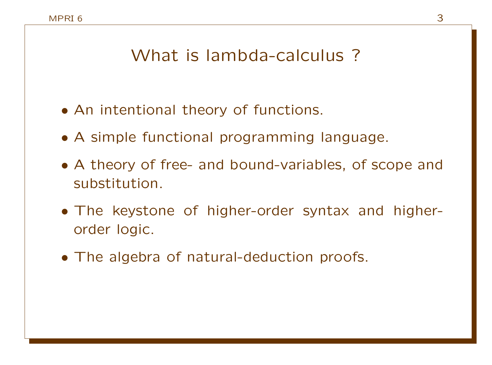### What is lambda-calculus ?

- An intentional theory of functions.
- A simple functional programming language.
- A theory of free- and bound-variables, of scope and substitution.
- The keystone of higher-order syntax and higherorder logic.
- The algebra of natural-deduction proofs.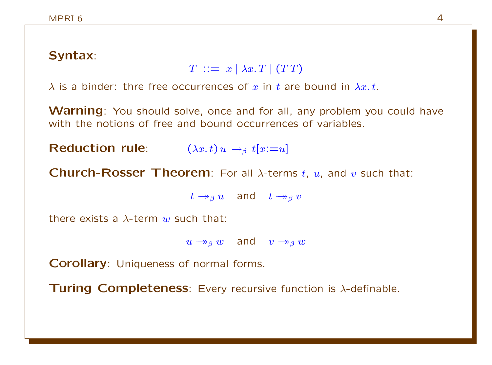### Syntax:

$$
T \ ::= \ x \mid \lambda x \, T \mid (TT)
$$

 $\lambda$  is a binder: thre free occurrences of x in t are bound in  $\lambda x$ , t.

**Warning**: You should solve, once and for all, any problem you could have with the notions of free and bound occurrences of variables.

Reduction rule:  $(\lambda x. t) u \rightarrow_\beta t[x:=u]$ 

**Church-Rosser Theorem:** For all  $\lambda$ -terms t, u, and v such that:

 $t \rightarrow_{\beta} u$  and  $t \rightarrow_{\beta} v$ 

there exists a  $\lambda$ -term w such that:

 $u \rightarrow_{\beta} w$  and  $v \rightarrow_{\beta} w$ 

Corollary: Uniqueness of normal forms.

Turing Completeness: Every recursive function is λ-definable.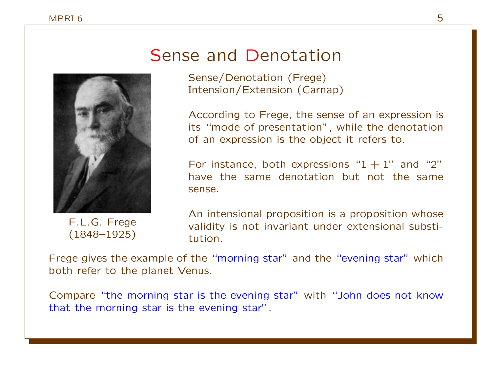### Sense and Denotation

Sense/Denotation (Frege) Intension/Extension (Carnap)

According to Frege, the sense of an expression is its "mode of presentation", while the denotation of an expression is the object it refers to.

For instance, both expressions " $1 + 1$ " and "2" have the same denotation but not the same sense.

F.L.G. Frege (1848–1925)

An intensional proposition is a proposition whose validity is not invariant under extensional substitution.

Frege gives the example of the "morning star" and the "evening star" which both refer to the planet Venus.

Compare "the morning star is the evening star" with "John does not know that the morning star is the evening star".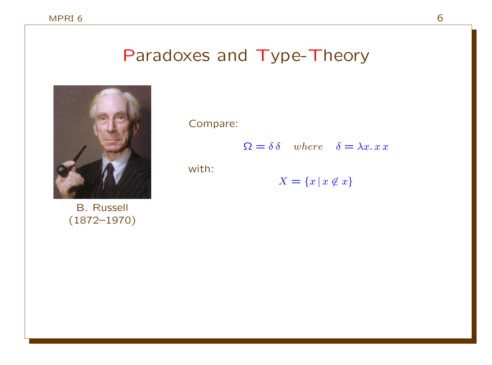### Paradoxes and Type-Theory



B. Russell (1872–1970) Compare:

 $\Omega = \delta \delta$  where  $\delta = \lambda x. x x$ 

with:

$$
X = \{x \mid x \notin x\}
$$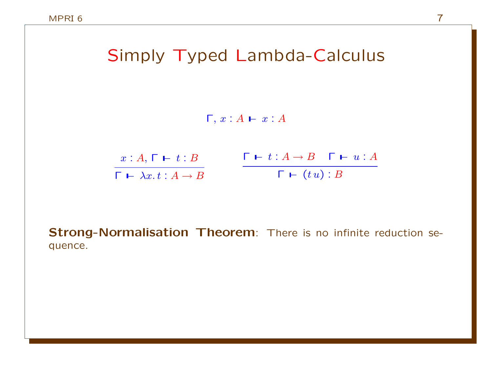## Simply Typed Lambda-Calculus

 $\Gamma, x : A \vdash x : A$ 

| $x:A,\,\Gamma \,\vdash\, t:B$                  | $\begin{array}{ccc}\n\Box \vdash t : A \rightarrow B & \Gamma \vdash u : A\n\end{array}$ |
|------------------------------------------------|------------------------------------------------------------------------------------------|
| $\Gamma \vdash \lambda x. t : A \rightarrow B$ | $\Gamma \vdash (tu): B$                                                                  |

Strong-Normalisation Theorem: There is no infinite reduction sequence.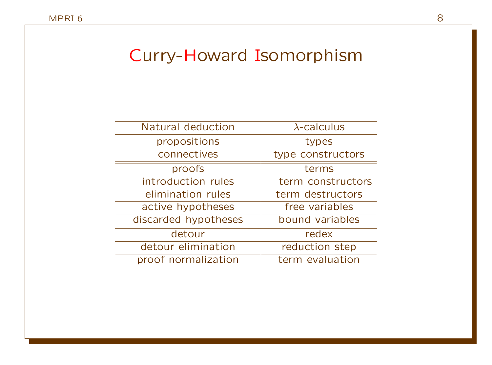### Curry-Howard Isomorphism

| Natural deduction    | $\lambda$ -calculus |
|----------------------|---------------------|
| propositions         | types               |
| connectives          | type constructors   |
| proofs               | terms               |
| introduction rules   | term constructors   |
| elimination rules    | term destructors    |
| active hypotheses    | free variables      |
| discarded hypotheses | bound variables     |
| detour               | redex               |
| detour elimination   | reduction step      |
| proof normalization  | term evaluation     |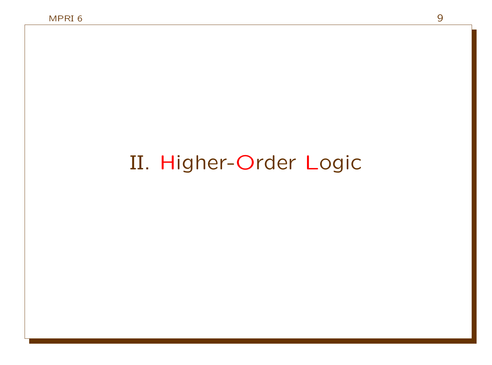# II. Higher-Order Logic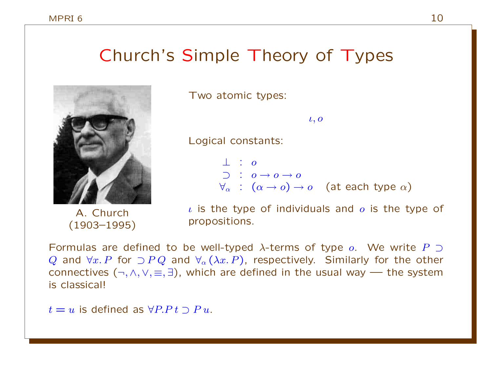### Church's Simple Theory of Types



Two atomic types:

 $l, o$ 

Logical constants:

 $\perp$  :  $\circ$  $\supset$  :  $o \rightarrow o \rightarrow o$  $\forall_{\alpha} : (\alpha \rightarrow o) \rightarrow o$  (at each type  $\alpha$ )

A. Church (1903–1995)

 $\iota$  is the type of individuals and  $\iota$  is the type of propositions.

Formulas are defined to be well-typed  $\lambda$ -terms of type  $\rho$ . We write P  $\supset$ Q and  $\forall x \in P$  for  $\supset P Q$  and  $\forall_{\alpha} (\lambda x \in P)$ , respectively. Similarly for the other connectives  $(\neg, \land, \lor, \equiv, \exists)$ , which are defined in the usual way — the system is classical!

 $t = u$  is defined as  $\forall P.P.t \supset P u$ .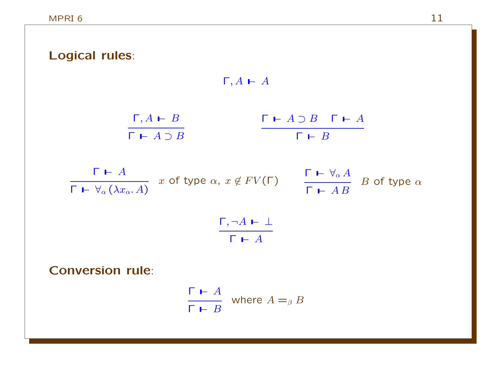| Logical rules:                                         |                                                                                                                                                                                                             |
|--------------------------------------------------------|-------------------------------------------------------------------------------------------------------------------------------------------------------------------------------------------------------------|
|                                                        | $\Gamma, A \vdash A$                                                                                                                                                                                        |
| $\frac{\Gamma, A \vdash B}{\Gamma \vdash A \supset B}$ | $\begin{array}{ccc}\n\Box \vdash A \supset B & \Gamma \vdash A\n\end{array}$<br>$\begin{array}{c c}\n\hline\n\text{F} & \text{F} & B\n\end{array}$                                                          |
|                                                        |                                                                                                                                                                                                             |
|                                                        | $\frac{\Gamma \vdash A}{\Gamma \vdash \forall_{\alpha} (\lambda x_{\alpha}.A)}$ $x$ of type $\alpha, x \notin FV(\Gamma)$<br>$\frac{\Gamma \vdash \forall_{\alpha} A}{\Gamma \vdash AB}$ B of type $\alpha$ |
|                                                        | $\frac{\Gamma, \neg A \vdash \bot}{\Gamma \vdash A}$                                                                                                                                                        |
| <b>Conversion rule:</b>                                |                                                                                                                                                                                                             |
|                                                        | $\frac{\Gamma \vdash A}{\Gamma \vdash B}$ where $A =_\beta B$                                                                                                                                               |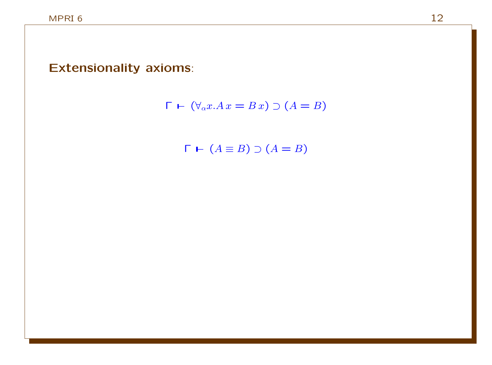#### Extensionality axioms:



 $\Gamma$   $\vdash$   $(A \equiv B) \supset (A = B)$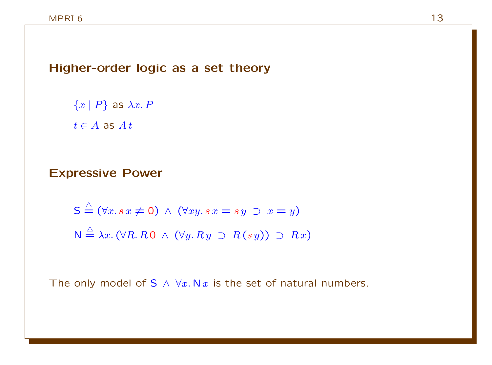Higher-order logic as a set theory

 ${x | P}$  as  $\lambda x.P$  $t \in A$  as  $At$ 

#### Expressive Power

$$
S \stackrel{\triangle}{=} (\forall x. sx \neq 0) \land (\forall xy. sx = sy \supset x = y)
$$
  

$$
N \stackrel{\triangle}{=} \lambda x. (\forall R. R0 \land (\forall y. Ry \supset R(sy)) \supset Rx)
$$

The only model of S  $\land \forall x. N x$  is the set of natural numbers.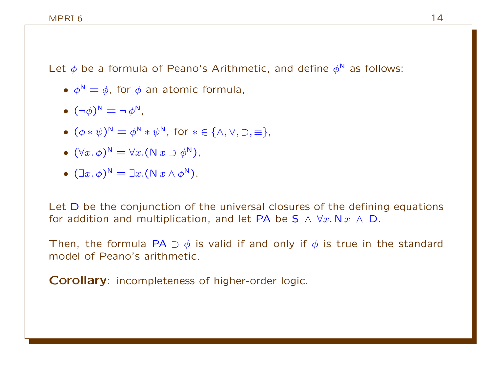Let  $\phi$  be a formula of Peano's Arithmetic, and define  $\phi^N$  as follows:

- $\phi^N = \phi$ , for  $\phi$  an atomic formula,
- $\bullet$   $(\neg \phi)^{\mathbb{N}} = \neg \phi^{\mathbb{N}}$ ,
- $(\phi * \psi)^N = \phi^N * \psi^N$ , for  $* \in {\wedge, \vee, \supset, \equiv}$ ,
- $(\forall x. \phi)^N = \forall x. (\mathsf{N} x \supset \phi^N)$ ,
- $(\exists x. \phi)^N = \exists x. (N x \land \phi^N).$

Let D be the conjunction of the universal closures of the defining equations for addition and multiplication, and let PA be S  $\land \forall x.\mathsf{N}\,x \land \mathsf{D}$ .

Then, the formula PA  $\supset \phi$  is valid if and only if  $\phi$  is true in the standard model of Peano's arithmetic.

Corollary: incompleteness of higher-order logic.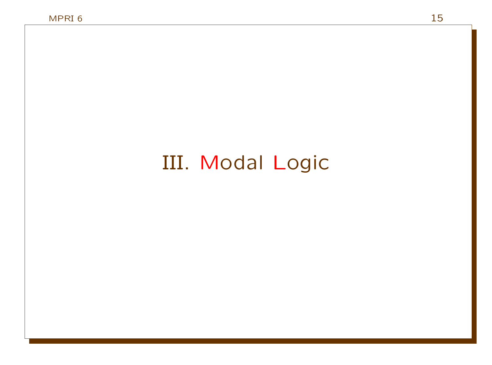# III. Modal Logic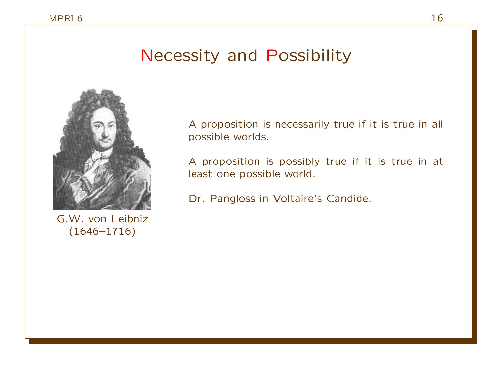### Necessity and Possibility



A proposition is necessarily true if it is true in all possible worlds.

A proposition is possibly true if it is true in at least one possible world.

Dr. Pangloss in Voltaire's Candide.

G.W. von Leibniz (1646–1716)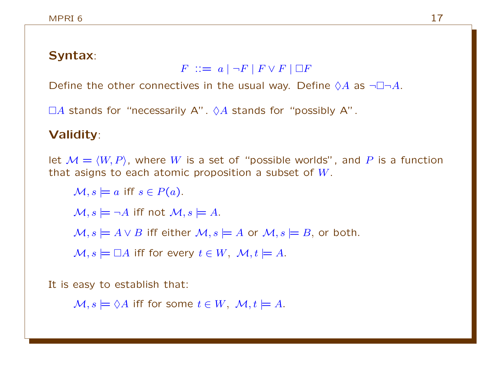#### Syntax:

 $F$  :  $= a \mid \neg F \mid F \vee F \mid \Box F$ 

Define the other connectives in the usual way. Define  $\Diamond A$  as  $\neg \Box \neg A$ .

 $\Box A$  stands for "necessarily A".  $\Diamond A$  stands for "possibly A".

### Validity:

let  $M = \langle W, P \rangle$ , where W is a set of "possible worlds", and P is a function that asigns to each atomic proposition a subset of  $W$ .

 $\mathcal{M}, s \models a \text{ iff } s \in P(a).$ 

 $\mathcal{M}, s \models \neg A$  iff not  $\mathcal{M}, s \models A$ .

 $M, s \models A \vee B$  iff either  $M, s \models A$  or  $M, s \models B$ , or both.

 $\mathcal{M}, s \models \Box A$  iff for every  $t \in W$ ,  $\mathcal{M}, t \models A$ .

It is easy to establish that:

 $\mathcal{M}, s \models \Diamond A$  iff for some  $t \in W$ ,  $\mathcal{M}, t \models A$ .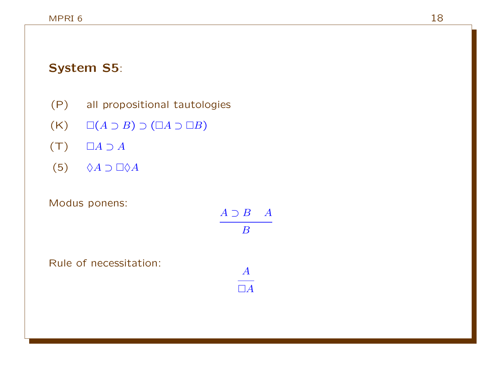### System S5:

- (P) all propositional tautologies
- $(K)$   $\Box(A \supset B) \supset (\Box A \supset \Box B)$
- $(T)$   $\Box A \supset A$
- $(5)$   $\Diamond A \supset \Box \Diamond A$

Rule of necessitation:

#### Modus ponens:

| $A \supset B$ | $\overline{\phantom{a}}$ |
|---------------|--------------------------|
| В             |                          |
|               |                          |
| $\bm{A}$      |                          |
| $\Box A$      |                          |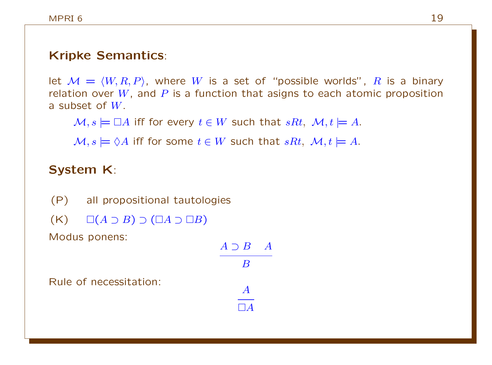### Kripke Semantics:

let  $M = \langle W, R, P \rangle$ , where W is a set of "possible worlds", R is a binary relation over  $W$ , and  $P$  is a function that asigns to each atomic proposition a subset of W.

B

A  $\Box A$ 

 $M, s \models \Box A$  iff for every  $t \in W$  such that  $sRt, M, t \models A$ .

 $M, s \models \Diamond A$  iff for some  $t \in W$  such that  $sRt, M, t \models A$ .

### System K:

(P) all propositional tautologies  $(K) \square (A \supset B) \supset (\square A \supset \square B)$ Modus ponens:  $A \supset B$   $A$ 

Rule of necessitation: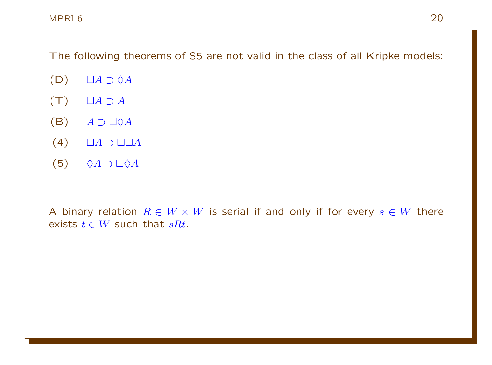The following theorems of S5 are not valid in the class of all Kripke models:

- $(D)$   $\Box A \supset \Diamond A$
- $(T)$   $\Box A \supset A$
- $(B)$   $A \supset \Box \Diamond A$
- $(4)$   $\Box A \supset \Box \Box A$
- (5)  $\Diamond A \supset \Box \Diamond A$

A binary relation  $R \in W \times W$  is serial if and only if for every  $s \in W$  there exists  $t \in W$  such that  $sRt$ .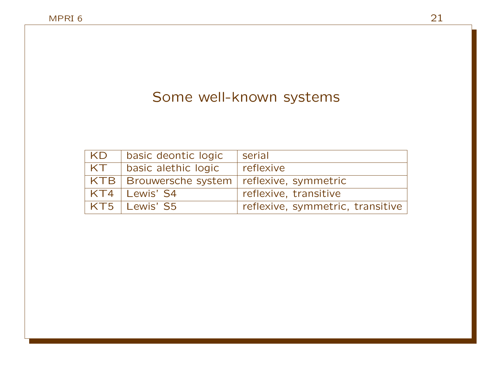### Some well-known systems

| KD   | basic deontic logic                             | serial                           |
|------|-------------------------------------------------|----------------------------------|
| ' KT | basic alethic logic                             | reflexive                        |
|      | KTB   Brouwersche system   reflexive, symmetric |                                  |
|      | KT4   Lewis' S4                                 | reflexive, transitive            |
|      | KT5   Lewis' S5                                 | reflexive, symmetric, transitive |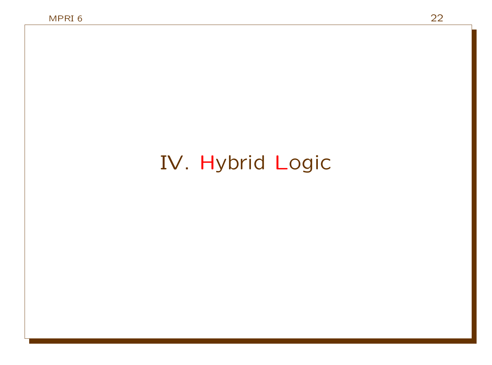# IV. Hybrid Logic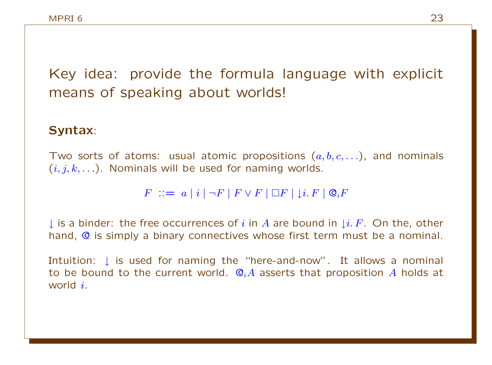Key idea: provide the formula language with explicit means of speaking about worlds!

#### Syntax:

Two sorts of atoms: usual atomic propositions  $(a, b, c, \ldots)$ , and nominals  $(i, j, k, \ldots)$ . Nominals will be used for naming worlds.

 $F$  ::=  $a \mid i \mid \neg F \mid F \vee F \mid \Box F \mid \bot i. F \mid \mathcal{Q}_i F$ 

↓ is a binder: the free occurrences of i in A are bound in  $\downarrow i$ . F. On the, other hand, @ is simply a binary connectives whose first term must be a nominal.

Intuition: L is used for naming the "here-and-now". It allows a nominal to be bound to the current world.  $\mathbb{Q}_iA$  asserts that proposition A holds at world i.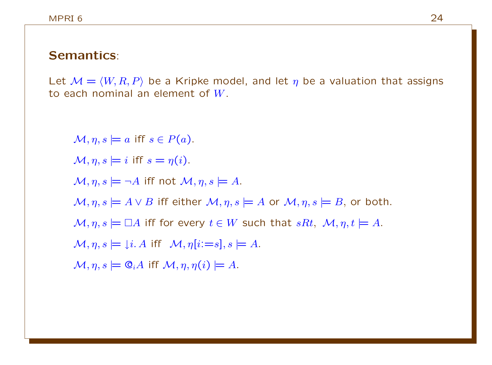#### Semantics:

Let  $M = \langle W, R, P \rangle$  be a Kripke model, and let  $\eta$  be a valuation that assigns to each nominal an element of W.

 $\mathcal{M}, \eta, s \models a$  iff  $s \in P(a)$ .  $\mathcal{M}, n, s \models i$  iff  $s = n(i)$ .  $\mathcal{M}, \eta, s \models \neg A$  iff not  $\mathcal{M}, \eta, s \models A$ .  $M, \eta, s \models A \vee B$  iff either  $M, \eta, s \models A$  or  $M, \eta, s \models B$ , or both.  $\mathcal{M}, \eta, s \models \Box A$  iff for every  $t \in W$  such that  $sRt, \mathcal{M}, \eta, t \models A$ .  $\mathcal{M}, \eta, s \models \mathcal{F} \mathcal{F} \mathcal{M}, \eta[i:=s], s \models A.$  $\mathcal{M}, \eta, s \models \mathbb{Q}_i A$  iff  $\mathcal{M}, \eta, \eta(i) \models A$ .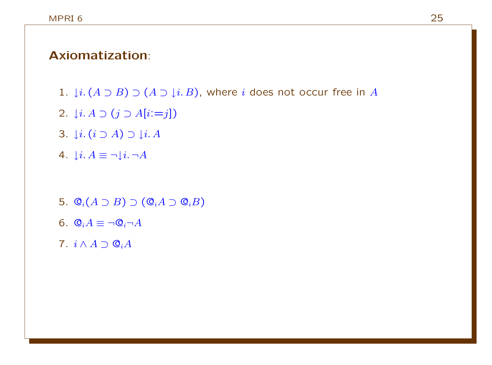#### Axiomatization:

- 1.  $\downarrow i$ .  $(A \supset B) \supset (A \supset \downarrow i$ . B), where i does not occur free in A
- 2.  $\downarrow i. A \supset (j \supset A[i:=j])$
- 3.  $\downarrow i. (i \supset A) \supset \downarrow i. A$
- 4.  $\mathop{\downarrow} i. A \equiv \neg \mathop{\downarrow} i. \neg A$
- 5.  $\mathbb{Q}_i(A \supset B) \supset (\mathbb{Q}_i A \supset \mathbb{Q}_i B)$
- 6.  $\mathbb{Q}_i A \equiv \neg \mathbb{Q}_i \neg A$
- 7.  $i \wedge A \supset Q_i A$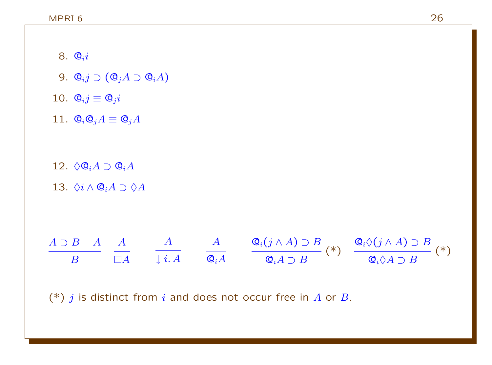